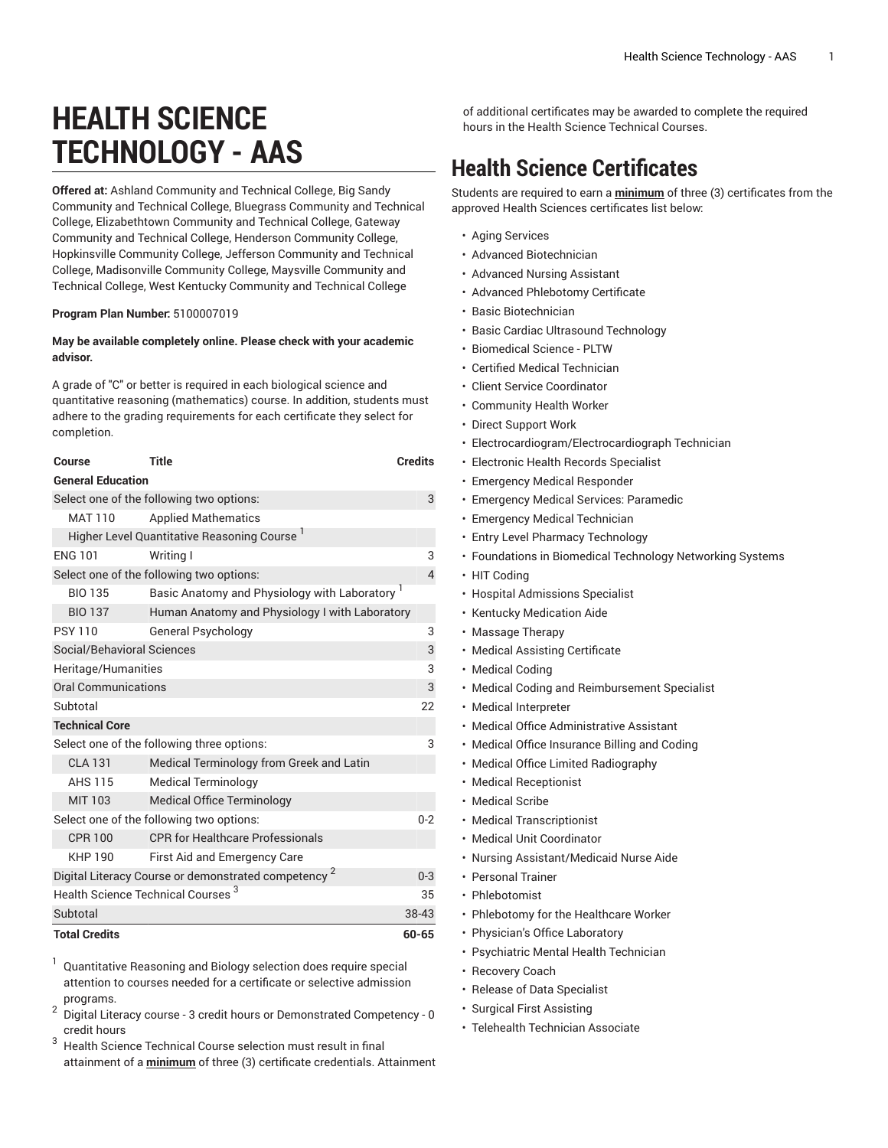# **HEALTH SCIENCE TECHNOLOGY - AAS**

**Offered at:** Ashland Community and Technical College, Big Sandy Community and Technical College, Bluegrass Community and Technical College, Elizabethtown Community and Technical College, Gateway Community and Technical College, Henderson Community College, Hopkinsville Community College, Jefferson Community and Technical College, Madisonville Community College, Maysville Community and Technical College, West Kentucky Community and Technical College

#### **Program Plan Number:** 5100007019

#### **May be available completely online. Please check with your academic advisor.**

A grade of "C" or better is required in each biological science and quantitative reasoning (mathematics) course. In addition, students must adhere to the grading requirements for each certificate they select for completion.

| Course                                                          | <b>Title</b>                                              | <b>Credits</b> |  |  |
|-----------------------------------------------------------------|-----------------------------------------------------------|----------------|--|--|
| <b>General Education</b>                                        |                                                           |                |  |  |
| Select one of the following two options:<br>3                   |                                                           |                |  |  |
| MAT 110                                                         | <b>Applied Mathematics</b>                                |                |  |  |
| Higher Level Quantitative Reasoning Course <sup>1</sup>         |                                                           |                |  |  |
| <b>ENG 101</b>                                                  | Writing I                                                 | 3              |  |  |
| Select one of the following two options:<br>$\overline{4}$      |                                                           |                |  |  |
| <b>BIO 135</b>                                                  | Basic Anatomy and Physiology with Laboratory <sup>1</sup> |                |  |  |
| <b>BIO 137</b>                                                  | Human Anatomy and Physiology I with Laboratory            |                |  |  |
| <b>PSY 110</b>                                                  | General Psychology                                        | 3              |  |  |
| Social/Behavioral Sciences                                      |                                                           |                |  |  |
| 3<br>Heritage/Humanities                                        |                                                           |                |  |  |
| <b>Oral Communications</b>                                      |                                                           | 3              |  |  |
| Subtotal                                                        |                                                           | 22             |  |  |
| <b>Technical Core</b>                                           |                                                           |                |  |  |
| Select one of the following three options:<br>3                 |                                                           |                |  |  |
| <b>CLA 131</b>                                                  | Medical Terminology from Greek and Latin                  |                |  |  |
| AHS 115                                                         | <b>Medical Terminology</b>                                |                |  |  |
| <b>MIT 103</b>                                                  | <b>Medical Office Terminology</b>                         |                |  |  |
| Select one of the following two options:<br>$0 - 2$             |                                                           |                |  |  |
| <b>CPR 100</b>                                                  | <b>CPR for Healthcare Professionals</b>                   |                |  |  |
| KHP 190                                                         | First Aid and Emergency Care                              |                |  |  |
| Digital Literacy Course or demonstrated competency <sup>2</sup> |                                                           | $0 - 3$        |  |  |
| Health Science Technical Courses <sup>3</sup>                   |                                                           | 35             |  |  |
| Subtotal                                                        |                                                           | 38-43          |  |  |
| <b>Total Credits</b>                                            |                                                           | 60-65          |  |  |

1 Quantitative Reasoning and Biology selection does require special attention to courses needed for a certificate or selective admission programs.

2 Digital Literacy course - 3 credit hours or Demonstrated Competency - 0 credit hours

<sup>3</sup> Health Science Technical Course selection must result in final attainment of a **minimum** of three (3) certificate credentials. Attainment of additional certificates may be awarded to complete the required hours in the Health Science Technical Courses.

### **Health Science Certificates**

Students are required to earn a **minimum** of three (3) certificates from the approved Health Sciences certificates list below:

- Aging Services
- Advanced Biotechnician
- Advanced Nursing Assistant
- Advanced Phlebotomy Certificate
- Basic Biotechnician
- Basic Cardiac Ultrasound Technology
- Biomedical Science PLTW
- Certified Medical Technician
- Client Service Coordinator
- Community Health Worker
- Direct Support Work
- Electrocardiogram/Electrocardiograph Technician
- Electronic Health Records Specialist
- Emergency Medical Responder
- Emergency Medical Services: Paramedic
- Emergency Medical Technician
- Entry Level Pharmacy Technology
- Foundations in Biomedical Technology Networking Systems
- HIT Coding
- Hospital Admissions Specialist
- Kentucky Medication Aide
- Massage Therapy
- Medical Assisting Certificate
- Medical Coding
- Medical Coding and Reimbursement Specialist
- Medical Interpreter
- Medical Office Administrative Assistant
- Medical Office Insurance Billing and Coding
- Medical Office Limited Radiography
- Medical Receptionist
- Medical Scribe
- Medical Transcriptionist
- Medical Unit Coordinator
- Nursing Assistant/Medicaid Nurse Aide
- Personal Trainer
- Phlebotomist
- Phlebotomy for the Healthcare Worker
- Physician's Office Laboratory
- Psychiatric Mental Health Technician
- Recovery Coach
- Release of Data Specialist
- Surgical First Assisting
- Telehealth Technician Associate